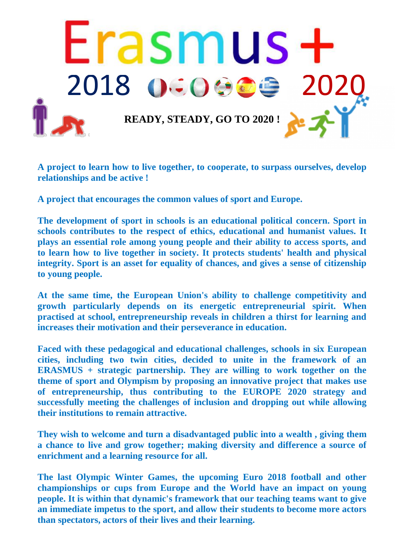

**A project to learn how to live together, to cooperate, to surpass ourselves, develop relationships and be active !**

**A project that encourages the common values of sport and Europe.**

**The development of sport in schools is an educational political concern. Sport in schools contributes to the respect of ethics, educational and humanist values. It plays an essential role among young people and their ability to access sports, and to learn how to live together in society. It protects students' health and physical integrity. Sport is an asset for equality of chances, and gives a sense of citizenship to young people.**

**At the same time, the European Union's ability to challenge competitivity and growth particularly depends on its energetic entrepreneurial spirit. When practised at school, entrepreneurship reveals in children a thirst for learning and increases their motivation and their perseverance in education.**

**Faced with these pedagogical and educational challenges, schools in six European cities, including two twin cities, decided to unite in the framework of an ERASMUS + strategic partnership. They are willing to work together on the theme of sport and Olympism by proposing an innovative project that makes use of entrepreneurship, thus contributing to the EUROPE 2020 strategy and successfully meeting the challenges of inclusion and dropping out while allowing their institutions to remain attractive.**

**They wish to welcome and turn a disadvantaged public into a wealth , giving them a chance to live and grow together; making diversity and difference a source of enrichment and a learning resource for all.**

**The last Olympic Winter Games, the upcoming Euro 2018 football and other championships or cups from Europe and the World have an impact on young people. It is within that dynamic's framework that our teaching teams want to give an immediate impetus to the sport, and allow their students to become more actors than spectators, actors of their lives and their learning.**